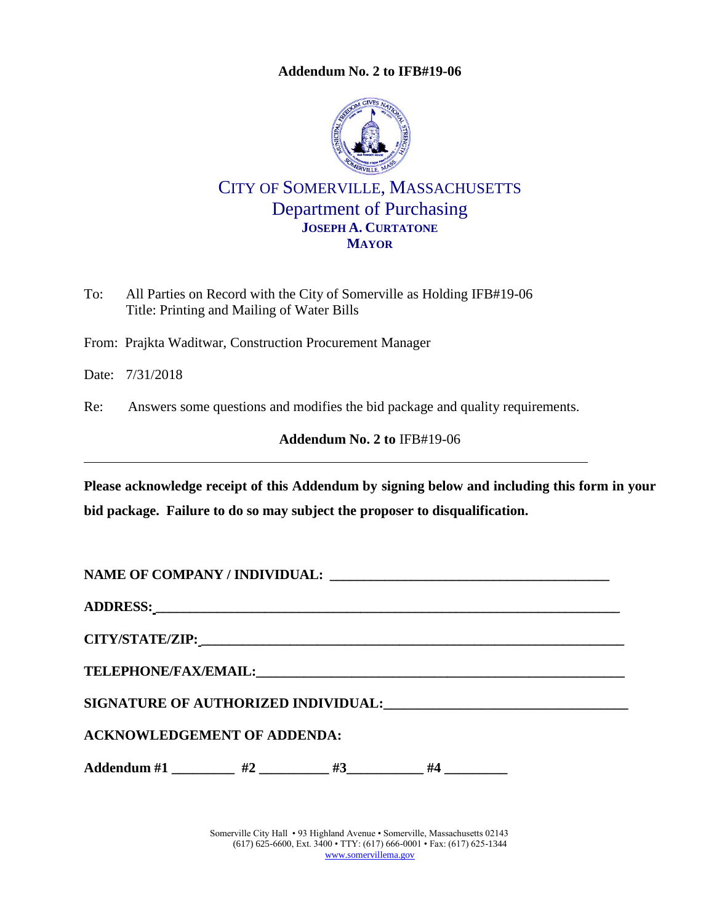**Addendum No. 2 to IFB#19-06**



## CITY OF SOMERVILLE, MASSACHUSETTS Department of Purchasing **JOSEPH A. CURTATONE MAYOR**

To: All Parties on Record with the City of Somerville as Holding IFB#19-06 Title: Printing and Mailing of Water Bills

From: Prajkta Waditwar, Construction Procurement Manager

Date: 7/31/2018

Re: Answers some questions and modifies the bid package and quality requirements.

<span id="page-0-0"></span>**Addendum No. 2 to** [IFB#19-06](#page-0-0)

**Please acknowledge receipt of this Addendum by signing below and including this form in your bid package. Failure to do so may subject the proposer to disqualification.**

**NAME OF COMPANY / INDIVIDUAL: \_\_\_\_\_\_\_\_\_\_\_\_\_\_\_\_\_\_\_\_\_\_\_\_\_\_\_\_\_\_\_\_\_\_\_\_\_\_\_\_\_**

**ADDRESS: \_\_\_\_\_\_\_\_\_\_\_\_\_\_\_\_\_\_\_\_\_\_\_\_\_\_\_\_\_\_\_\_\_\_\_\_\_\_\_\_\_\_\_\_\_\_\_\_\_\_\_\_\_\_\_\_\_\_\_\_\_\_\_\_\_\_\_\_**

**CITY/STATE/ZIP: \_\_\_\_\_\_\_\_\_\_\_\_\_\_\_\_\_\_\_\_\_\_\_\_\_\_\_\_\_\_\_\_\_\_\_\_\_\_\_\_\_\_\_\_\_\_\_\_\_\_\_\_\_\_\_\_\_\_\_\_\_\_**

**TELEPHONE/FAX/EMAIL:\_\_\_\_\_\_\_\_\_\_\_\_\_\_\_\_\_\_\_\_\_\_\_\_\_\_\_\_\_\_\_\_\_\_\_\_\_\_\_\_\_\_\_\_\_\_\_\_\_\_\_\_\_\_**

**SIGNATURE OF AUTHORIZED INDIVIDUAL:\_\_\_\_\_\_\_\_\_\_\_\_\_\_\_\_\_\_\_\_\_\_\_\_\_\_\_\_\_\_\_\_\_\_\_**

**ACKNOWLEDGEMENT OF ADDENDA:**

Addendum #1 \_\_\_\_\_\_\_\_\_ #2 \_\_\_\_\_\_\_\_\_ #3\_\_\_\_\_\_\_\_\_\_ #4 \_\_\_\_\_\_\_\_\_\_

Somerville City Hall • 93 Highland Avenue • Somerville, Massachusetts 02143 (617) 625-6600, Ext. 3400 • TTY: (617) 666-0001 • Fax: (617) 625-1344 [www.somervillema.gov](http://www.somervillema.gov/)